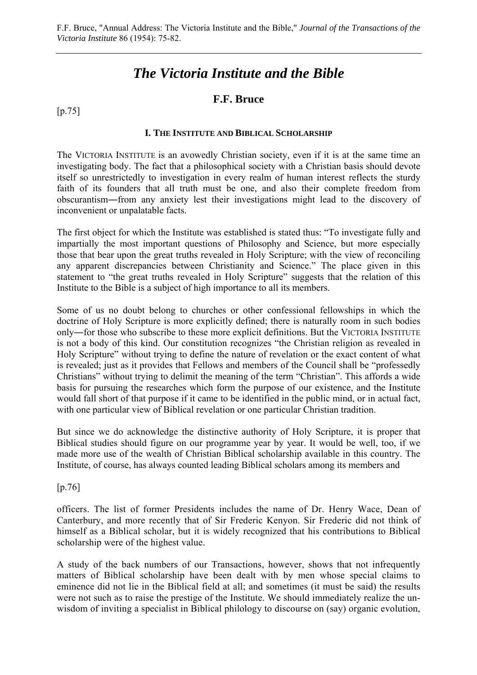# *The Victoria Institute and the Bible*

## **F.F. Bruce**

[p.75]

#### **I. THE INSTITUTE AND BIBLICAL SCHOLARSHIP**

The VICTORIA INSTITUTE is an avowedly Christian society, even if it is at the same time an investigating body. The fact that a philosophical society with a Christian basis should devote itself so unrestrictedly to investigation in every realm of human interest reflects the sturdy faith of its founders that all truth must be one, and also their complete freedom from obscurantism―from any anxiety lest their investigations might lead to the discovery of inconvenient or unpalatable facts.

The first object for which the Institute was established is stated thus: "To investigate fully and impartially the most important questions of Philosophy and Science, but more especially those that bear upon the great truths revealed in Holy Scripture; with the view of reconciling any apparent discrepancies between Christianity and Science." The place given in this statement to "the great truths revealed in Holy Scripture" suggests that the relation of this Institute to the Bible is a subject of high importance to all its members.

Some of us no doubt belong to churches or other confessional fellowships in which the doctrine of Holy Scripture is more explicitly defined; there is naturally room in such bodies only―for those who subscribe to these more explicit definitions. But the VICTORIA INSTITUTE is not a body of this kind. Our constitution recognizes "the Christian religion as revealed in Holy Scripture" without trying to define the nature of revelation or the exact content of what is revealed; just as it provides that Fellows and members of the Council shall be "professedly Christians" without trying to delimit the meaning of the term "Christian". This affords a wide basis for pursuing the researches which form the purpose of our existence, and the Institute would fall short of that purpose if it came to be identified in the public mind, or in actual fact, with one particular view of Biblical revelation or one particular Christian tradition.

But since we do acknowledge the distinctive authority of Holy Scripture, it is proper that Biblical studies should figure on our programme year by year. It would be well, too, if we made more use of the wealth of Christian Biblical scholarship available in this country. The Institute, of course, has always counted leading Biblical scholars among its members and

[p.76]

officers. The list of former Presidents includes the name of Dr. Henry Wace, Dean of Canterbury, and more recently that of Sir Frederic Kenyon. Sir Frederic did not think of himself as a Biblical scholar, but it is widely recognized that his contributions to Biblical scholarship were of the highest value.

A study of the back numbers of our Transactions, however, shows that not infrequently matters of Biblical scholarship have been dealt with by men whose special claims to eminence did not lie in the Biblical field at all; and sometimes (it must be said) the results were not such as to raise the prestige of the Institute. We should immediately realize the unwisdom of inviting a specialist in Biblical philology to discourse on (say) organic evolution,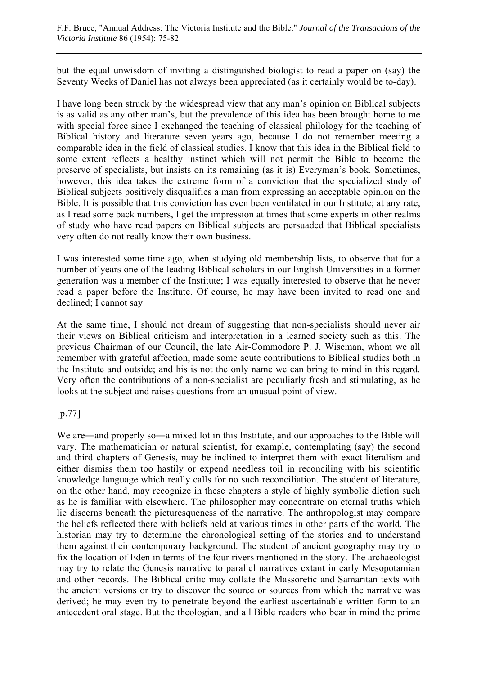but the equal unwisdom of inviting a distinguished biologist to read a paper on (say) the Seventy Weeks of Daniel has not always been appreciated (as it certainly would be to-day).

I have long been struck by the widespread view that any man's opinion on Biblical subjects is as valid as any other man's, but the prevalence of this idea has been brought home to me with special force since I exchanged the teaching of classical philology for the teaching of Biblical history and literature seven years ago, because I do not remember meeting a comparable idea in the field of classical studies. I know that this idea in the Biblical field to some extent reflects a healthy instinct which will not permit the Bible to become the preserve of specialists, but insists on its remaining (as it is) Everyman's book. Sometimes, however, this idea takes the extreme form of a conviction that the specialized study of Biblical subjects positively disqualifies a man from expressing an acceptable opinion on the Bible. It is possible that this conviction has even been ventilated in our Institute; at any rate, as I read some back numbers, I get the impression at times that some experts in other realms of study who have read papers on Biblical subjects are persuaded that Biblical specialists very often do not really know their own business.

I was interested some time ago, when studying old membership lists, to observe that for a number of years one of the leading Biblical scholars in our English Universities in a former generation was a member of the Institute; I was equally interested to observe that he never read a paper before the Institute. Of course, he may have been invited to read one and declined; I cannot say

At the same time, I should not dream of suggesting that non-specialists should never air their views on Biblical criticism and interpretation in a learned society such as this. The previous Chairman of our Council, the late Air-Commodore P. J. Wiseman, whom we all remember with grateful affection, made some acute contributions to Biblical studies both in the Institute and outside; and his is not the only name we can bring to mind in this regard. Very often the contributions of a non-specialist are peculiarly fresh and stimulating, as he looks at the subject and raises questions from an unusual point of view.

[p.77]

We are—and properly so—a mixed lot in this Institute, and our approaches to the Bible will vary. The mathematician or natural scientist, for example, contemplating (say) the second and third chapters of Genesis, may be inclined to interpret them with exact literalism and either dismiss them too hastily or expend needless toil in reconciling with his scientific knowledge language which really calls for no such reconciliation. The student of literature, on the other hand, may recognize in these chapters a style of highly symbolic diction such as he is familiar with elsewhere. The philosopher may concentrate on eternal truths which lie discerns beneath the picturesqueness of the narrative. The anthropologist may compare the beliefs reflected there with beliefs held at various times in other parts of the world. The historian may try to determine the chronological setting of the stories and to understand them against their contemporary background. The student of ancient geography may try to fix the location of Eden in terms of the four rivers mentioned in the story. The archaeologist may try to relate the Genesis narrative to parallel narratives extant in early Mesopotamian and other records. The Biblical critic may collate the Massoretic and Samaritan texts with the ancient versions or try to discover the source or sources from which the narrative was derived; he may even try to penetrate beyond the earliest ascertainable written form to an antecedent oral stage. But the theologian, and all Bible readers who bear in mind the prime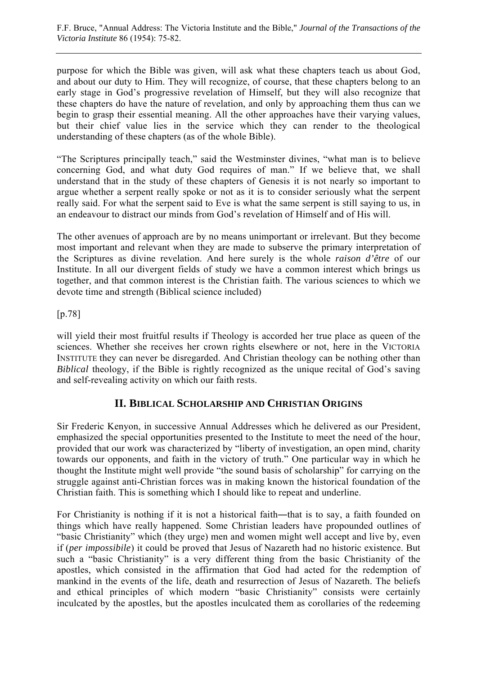purpose for which the Bible was given, will ask what these chapters teach us about God, and about our duty to Him. They will recognize, of course, that these chapters belong to an early stage in God's progressive revelation of Himself, but they will also recognize that these chapters do have the nature of revelation, and only by approaching them thus can we begin to grasp their essential meaning. All the other approaches have their varying values, but their chief value lies in the service which they can render to the theological understanding of these chapters (as of the whole Bible).

"The Scriptures principally teach," said the Westminster divines, "what man is to believe concerning God, and what duty God requires of man." If we believe that, we shall understand that in the study of these chapters of Genesis it is not nearly so important to argue whether a serpent really spoke or not as it is to consider seriously what the serpent really said. For what the serpent said to Eve is what the same serpent is still saying to us, in an endeavour to distract our minds from God's revelation of Himself and of His will.

The other avenues of approach are by no means unimportant or irrelevant. But they become most important and relevant when they are made to subserve the primary interpretation of the Scriptures as divine revelation. And here surely is the whole *raison d'être* of our Institute. In all our divergent fields of study we have a common interest which brings us together, and that common interest is the Christian faith. The various sciences to which we devote time and strength (Biblical science included)

[p.78]

will yield their most fruitful results if Theology is accorded her true place as queen of the sciences. Whether she receives her crown rights elsewhere or not, here in the VICTORIA INSTITUTE they can never be disregarded. And Christian theology can be nothing other than *Biblical* theology, if the Bible is rightly recognized as the unique recital of God's saving and self-revealing activity on which our faith rests.

## **II. BIBLICAL SCHOLARSHIP AND CHRISTIAN ORIGINS**

Sir Frederic Kenyon, in successive Annual Addresses which he delivered as our President, emphasized the special opportunities presented to the Institute to meet the need of the hour, provided that our work was characterized by "liberty of investigation, an open mind, charity towards our opponents, and faith in the victory of truth." One particular way in which he thought the Institute might well provide "the sound basis of scholarship" for carrying on the struggle against anti-Christian forces was in making known the historical foundation of the Christian faith. This is something which I should like to repeat and underline.

For Christianity is nothing if it is not a historical faith—that is to say, a faith founded on things which have really happened. Some Christian leaders have propounded outlines of "basic Christianity" which (they urge) men and women might well accept and live by, even if (*per impossibile*) it could be proved that Jesus of Nazareth had no historic existence. But such a "basic Christianity" is a very different thing from the basic Christianity of the apostles, which consisted in the affirmation that God had acted for the redemption of mankind in the events of the life, death and resurrection of Jesus of Nazareth. The beliefs and ethical principles of which modern "basic Christianity" consists were certainly inculcated by the apostles, but the apostles inculcated them as corollaries of the redeeming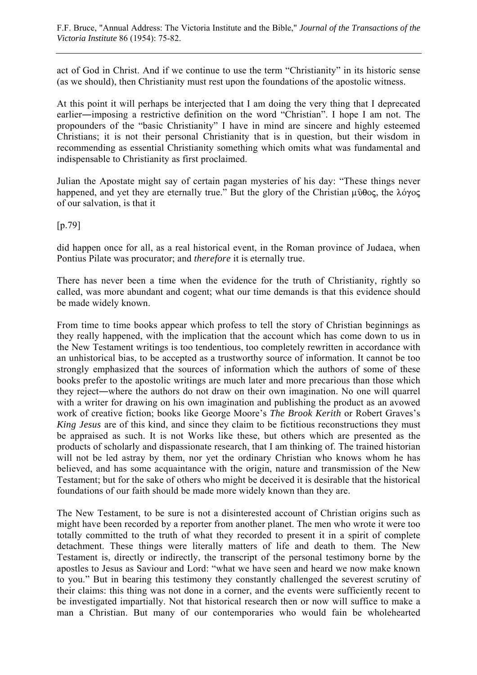act of God in Christ. And if we continue to use the term "Christianity" in its historic sense (as we should), then Christianity must rest upon the foundations of the apostolic witness.

At this point it will perhaps be interjected that I am doing the very thing that I deprecated earlier―imposing a restrictive definition on the word "Christian". I hope I am not. The propounders of the "basic Christianity" I have in mind are sincere and highly esteemed Christians; it is not their personal Christianity that is in question, but their wisdom in recommending as essential Christianity something which omits what was fundamental and indispensable to Christianity as first proclaimed.

Julian the Apostate might say of certain pagan mysteries of his day: "These things never happened, and yet they are eternally true." But the glory of the Christian  $\mu \hat{\nu} \theta$ oc, the  $\lambda \hat{\nu} \gamma$ oc of our salvation, is that it

[p.79]

did happen once for all, as a real historical event, in the Roman province of Judaea, when Pontius Pilate was procurator; and *therefore* it is eternally true.

There has never been a time when the evidence for the truth of Christianity, rightly so called, was more abundant and cogent; what our time demands is that this evidence should be made widely known.

From time to time books appear which profess to tell the story of Christian beginnings as they really happened, with the implication that the account which has come down to us in the New Testament writings is too tendentious, too completely rewritten in accordance with an unhistorical bias, to be accepted as a trustworthy source of information. It cannot be too strongly emphasized that the sources of information which the authors of some of these books prefer to the apostolic writings are much later and more precarious than those which they reject―where the authors do not draw on their own imagination. No one will quarrel with a writer for drawing on his own imagination and publishing the product as an avowed work of creative fiction; books like George Moore's *The Brook Kerith* or Robert Graves's *King Jesus* are of this kind, and since they claim to be fictitious reconstructions they must be appraised as such. It is not Works like these, but others which are presented as the products of scholarly and dispassionate research, that I am thinking of. The trained historian will not be led astray by them, nor yet the ordinary Christian who knows whom he has believed, and has some acquaintance with the origin, nature and transmission of the New Testament; but for the sake of others who might be deceived it is desirable that the historical foundations of our faith should be made more widely known than they are.

The New Testament, to be sure is not a disinterested account of Christian origins such as might have been recorded by a reporter from another planet. The men who wrote it were too totally committed to the truth of what they recorded to present it in a spirit of complete detachment. These things were literally matters of life and death to them. The New Testament is, directly or indirectly, the transcript of the personal testimony borne by the apostles to Jesus as Saviour and Lord: "what we have seen and heard we now make known to you." But in bearing this testimony they constantly challenged the severest scrutiny of their claims: this thing was not done in a corner, and the events were sufficiently recent to be investigated impartially. Not that historical research then or now will suffice to make a man a Christian. But many of our contemporaries who would fain be wholehearted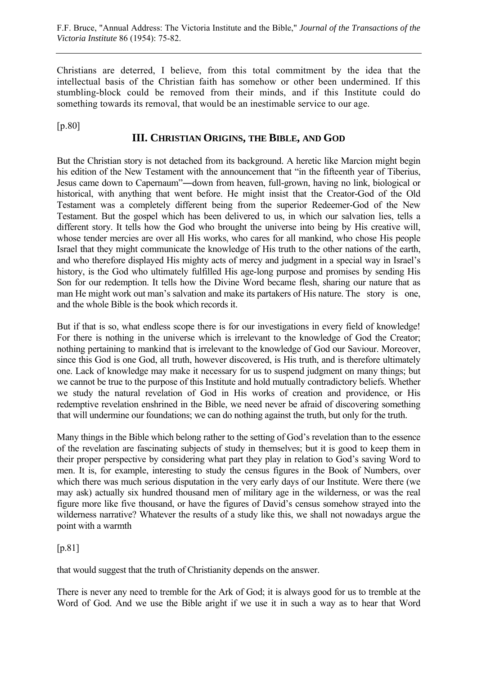Christians are deterred, I believe, from this total commitment by the idea that the intellectual basis of the Christian faith has somehow or other been undermined. If this stumbling-block could be removed from their minds, and if this Institute could do something towards its removal, that would be an inestimable service to our age.

[p.80]

### **III. CHRISTIAN ORIGINS, THE BIBLE, AND GOD**

But the Christian story is not detached from its background. A heretic like Marcion might begin his edition of the New Testament with the announcement that "in the fifteenth year of Tiberius, Jesus came down to Capernaum"―down from heaven, full-grown, having no link, biological or historical, with anything that went before. He might insist that the Creator-God of the Old Testament was a completely different being from the superior Redeemer-God of the New Testament. But the gospel which has been delivered to us, in which our salvation lies, tells a different story. It tells how the God who brought the universe into being by His creative will, whose tender mercies are over all His works, who cares for all mankind, who chose His people Israel that they might communicate the knowledge of His truth to the other nations of the earth, and who therefore displayed His mighty acts of mercy and judgment in a special way in Israel's history, is the God who ultimately fulfilled His age-long purpose and promises by sending His Son for our redemption. It tells how the Divine Word became flesh, sharing our nature that as man He might work out man's salvation and make its partakers of His nature. The story is one, and the whole Bible is the book which records it.

But if that is so, what endless scope there is for our investigations in every field of knowledge! For there is nothing in the universe which is irrelevant to the knowledge of God the Creator; nothing pertaining to mankind that is irrelevant to the knowledge of God our Saviour. Moreover, since this God is one God, all truth, however discovered, is His truth, and is therefore ultimately one. Lack of knowledge may make it necessary for us to suspend judgment on many things; but we cannot be true to the purpose of this Institute and hold mutually contradictory beliefs. Whether we study the natural revelation of God in His works of creation and providence, or His redemptive revelation enshrined in the Bible, we need never be afraid of discovering something that will undermine our foundations; we can do nothing against the truth, but only for the truth.

Many things in the Bible which belong rather to the setting of God's revelation than to the essence of the revelation are fascinating subjects of study in themselves; but it is good to keep them in their proper perspective by considering what part they play in relation to God's saving Word to men. It is, for example, interesting to study the census figures in the Book of Numbers, over which there was much serious disputation in the very early days of our Institute. Were there (we may ask) actually six hundred thousand men of military age in the wilderness, or was the real figure more like five thousand, or have the figures of David's census somehow strayed into the wilderness narrative? Whatever the results of a study like this, we shall not nowadays argue the point with a warmth

 $[p.81]$ 

that would suggest that the truth of Christianity depends on the answer.

There is never any need to tremble for the Ark of God; it is always good for us to tremble at the Word of God. And we use the Bible aright if we use it in such a way as to hear that Word